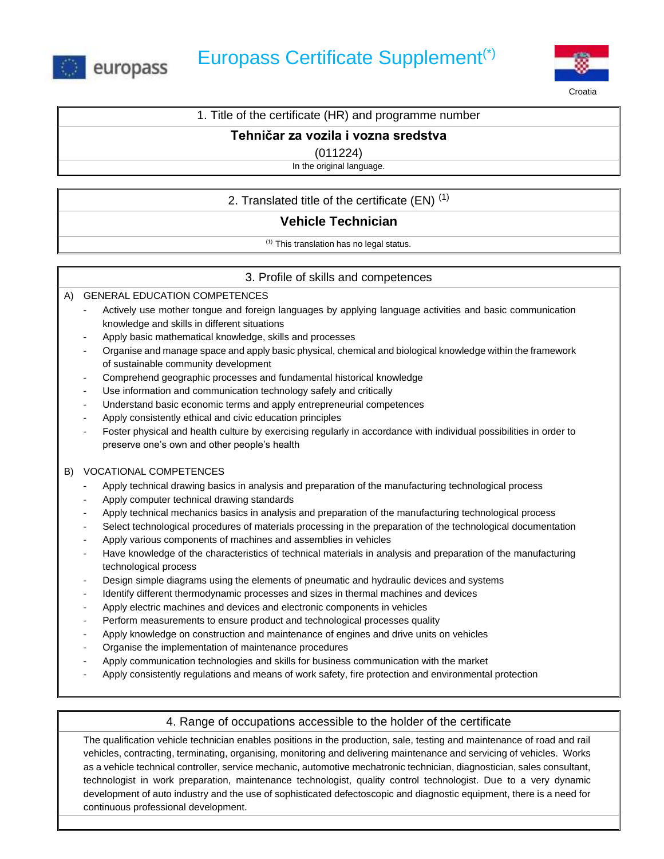



Croatia

# 1. Title of the certificate (HR) and programme number

#### **Tehničar za vozila i vozna sredstva**

(011224)

In the original language.

# 2. Translated title of the certificate  $(EN)^{(1)}$

# **Vehicle Technician**

(1) This translation has no legal status.

## 3. Profile of skills and competences

A) GENERAL EDUCATION COMPETENCES

- Actively use mother tongue and foreign languages by applying language activities and basic communication knowledge and skills in different situations
- Apply basic mathematical knowledge, skills and processes
- Organise and manage space and apply basic physical, chemical and biological knowledge within the framework of sustainable community development
- Comprehend geographic processes and fundamental historical knowledge
- Use information and communication technology safely and critically
- Understand basic economic terms and apply entrepreneurial competences
- Apply consistently ethical and civic education principles
- Foster physical and health culture by exercising regularly in accordance with individual possibilities in order to preserve one's own and other people's health

#### B) VOCATIONAL COMPETENCES

- Apply technical drawing basics in analysis and preparation of the manufacturing technological process
- Apply computer technical drawing standards
- Apply technical mechanics basics in analysis and preparation of the manufacturing technological process
- Select technological procedures of materials processing in the preparation of the technological documentation
- Apply various components of machines and assemblies in vehicles
- Have knowledge of the characteristics of technical materials in analysis and preparation of the manufacturing technological process
- Design simple diagrams using the elements of pneumatic and hydraulic devices and systems
- Identify different thermodynamic processes and sizes in thermal machines and devices
- Apply electric machines and devices and electronic components in vehicles
- Perform measurements to ensure product and technological processes quality
- Apply knowledge on construction and maintenance of engines and drive units on vehicles
- Organise the implementation of maintenance procedures
- Apply communication technologies and skills for business communication with the market
- Apply consistently regulations and means of work safety, fire protection and environmental protection

## 4. Range of occupations accessible to the holder of the certificate

The qualification vehicle technician enables positions in the production, sale, testing and maintenance of road and rail vehicles, contracting, terminating, organising, monitoring and delivering maintenance and servicing of vehicles. Works as a vehicle technical controller, service mechanic, automotive mechatronic technician, diagnostician, sales consultant, technologist in work preparation, maintenance technologist, quality control technologist. Due to a very dynamic development of auto industry and the use of sophisticated defectoscopic and diagnostic equipment, there is a need for continuous professional development.